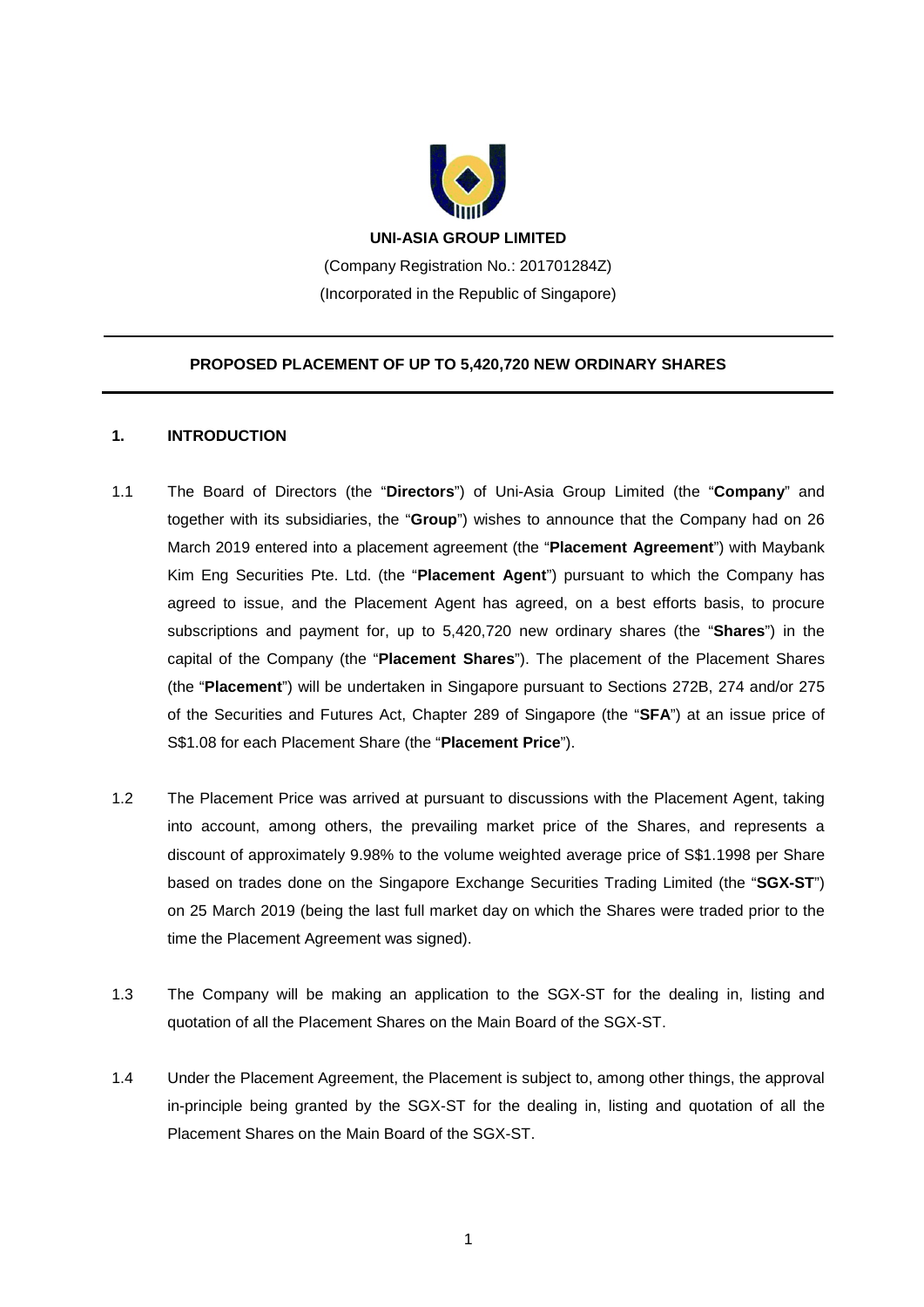

(Company Registration No.: 201701284Z) (Incorporated in the Republic of Singapore)

# **PROPOSED PLACEMENT OF UP TO 5,420,720 NEW ORDINARY SHARES**

# **1. INTRODUCTION**

- 1.1 The Board of Directors (the "**Directors**") of Uni-Asia Group Limited (the "**Company**" and together with its subsidiaries, the "**Group**") wishes to announce that the Company had on 26 March 2019 entered into a placement agreement (the "**Placement Agreement**") with Maybank Kim Eng Securities Pte. Ltd. (the "**Placement Agent**") pursuant to which the Company has agreed to issue, and the Placement Agent has agreed, on a best efforts basis, to procure subscriptions and payment for, up to 5,420,720 new ordinary shares (the "**Shares**") in the capital of the Company (the "**Placement Shares**"). The placement of the Placement Shares (the "**Placement**") will be undertaken in Singapore pursuant to Sections 272B, 274 and/or 275 of the Securities and Futures Act, Chapter 289 of Singapore (the "**SFA**") at an issue price of S\$1.08 for each Placement Share (the "**Placement Price**").
- 1.2 The Placement Price was arrived at pursuant to discussions with the Placement Agent, taking into account, among others, the prevailing market price of the Shares, and represents a discount of approximately 9.98% to the volume weighted average price of S\$1.1998 per Share based on trades done on the Singapore Exchange Securities Trading Limited (the "**SGX-ST**") on 25 March 2019 (being the last full market day on which the Shares were traded prior to the time the Placement Agreement was signed).
- 1.3 The Company will be making an application to the SGX-ST for the dealing in, listing and quotation of all the Placement Shares on the Main Board of the SGX-ST.
- 1.4 Under the Placement Agreement, the Placement is subject to, among other things, the approval in-principle being granted by the SGX-ST for the dealing in, listing and quotation of all the Placement Shares on the Main Board of the SGX-ST.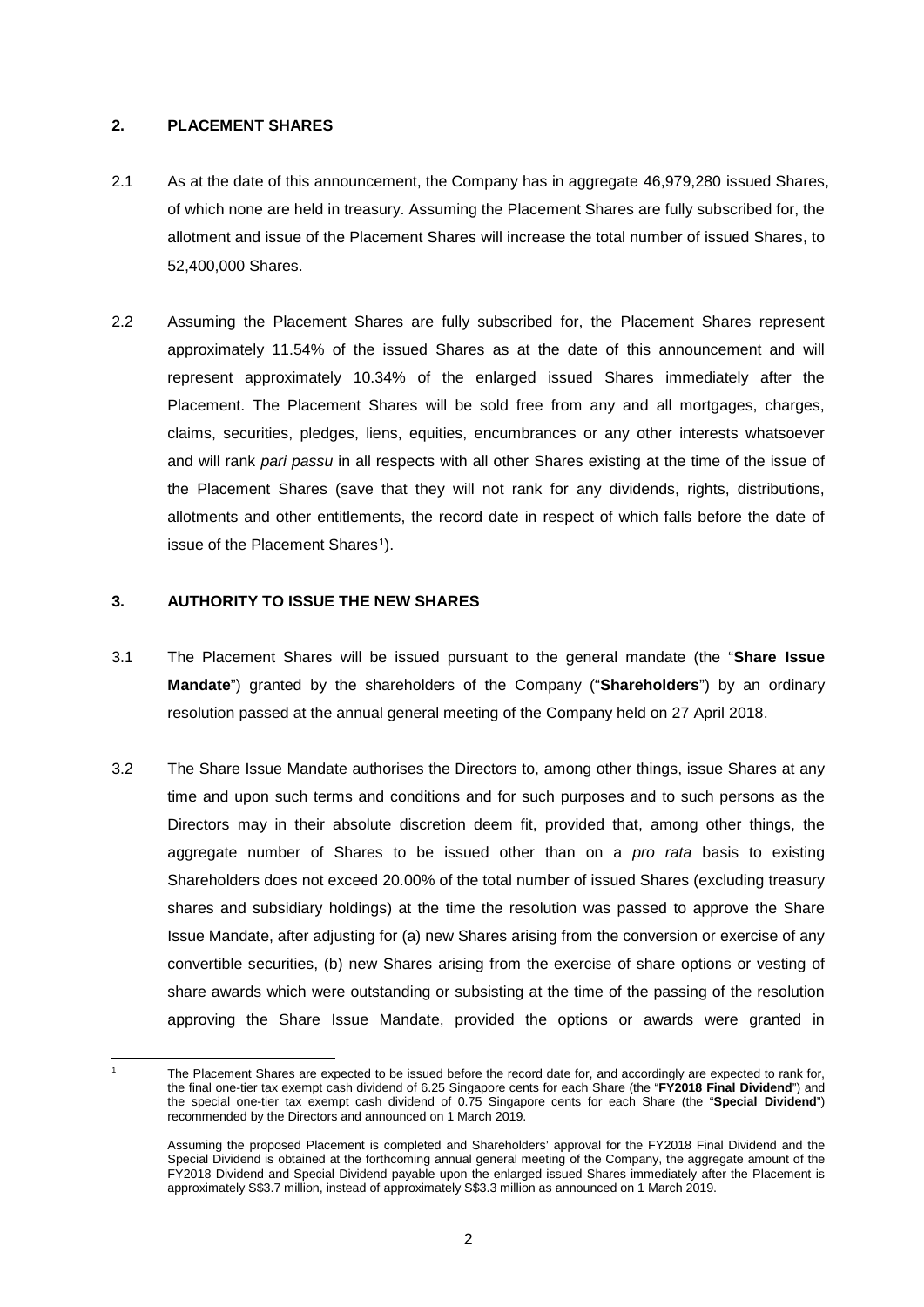### **2. PLACEMENT SHARES**

- 2.1 As at the date of this announcement, the Company has in aggregate 46,979,280 issued Shares, of which none are held in treasury. Assuming the Placement Shares are fully subscribed for, the allotment and issue of the Placement Shares will increase the total number of issued Shares, to 52,400,000 Shares.
- 2.2 Assuming the Placement Shares are fully subscribed for, the Placement Shares represent approximately 11.54% of the issued Shares as at the date of this announcement and will represent approximately 10.34% of the enlarged issued Shares immediately after the Placement. The Placement Shares will be sold free from any and all mortgages, charges, claims, securities, pledges, liens, equities, encumbrances or any other interests whatsoever and will rank *pari passu* in all respects with all other Shares existing at the time of the issue of the Placement Shares (save that they will not rank for any dividends, rights, distributions, allotments and other entitlements, the record date in respect of which falls before the date of issue of the Placement Shares<sup>1</sup>).

### **3. AUTHORITY TO ISSUE THE NEW SHARES**

- 3.1 The Placement Shares will be issued pursuant to the general mandate (the "**Share Issue Mandate**") granted by the shareholders of the Company ("**Shareholders**") by an ordinary resolution passed at the annual general meeting of the Company held on 27 April 2018.
- 3.2 The Share Issue Mandate authorises the Directors to, among other things, issue Shares at any time and upon such terms and conditions and for such purposes and to such persons as the Directors may in their absolute discretion deem fit, provided that, among other things, the aggregate number of Shares to be issued other than on a *pro rata* basis to existing Shareholders does not exceed 20.00% of the total number of issued Shares (excluding treasury shares and subsidiary holdings) at the time the resolution was passed to approve the Share Issue Mandate, after adjusting for (a) new Shares arising from the conversion or exercise of any convertible securities, (b) new Shares arising from the exercise of share options or vesting of share awards which were outstanding or subsisting at the time of the passing of the resolution approving the Share Issue Mandate, provided the options or awards were granted in

<span id="page-1-0"></span>**<sup>.</sup>** 

The Placement Shares are expected to be issued before the record date for, and accordingly are expected to rank for, the final one-tier tax exempt cash dividend of 6.25 Singapore cents for each Share (the "**FY2018 Final Dividend**") and the special one-tier tax exempt cash dividend of 0.75 Singapore cents for each Share (the "**Special Dividend**") recommended by the Directors and announced on 1 March 2019.

Assuming the proposed Placement is completed and Shareholders' approval for the FY2018 Final Dividend and the Special Dividend is obtained at the forthcoming annual general meeting of the Company, the aggregate amount of the FY2018 Dividend and Special Dividend payable upon the enlarged issued Shares immediately after the Placement is approximately S\$3.7 million, instead of approximately S\$3.3 million as announced on 1 March 2019.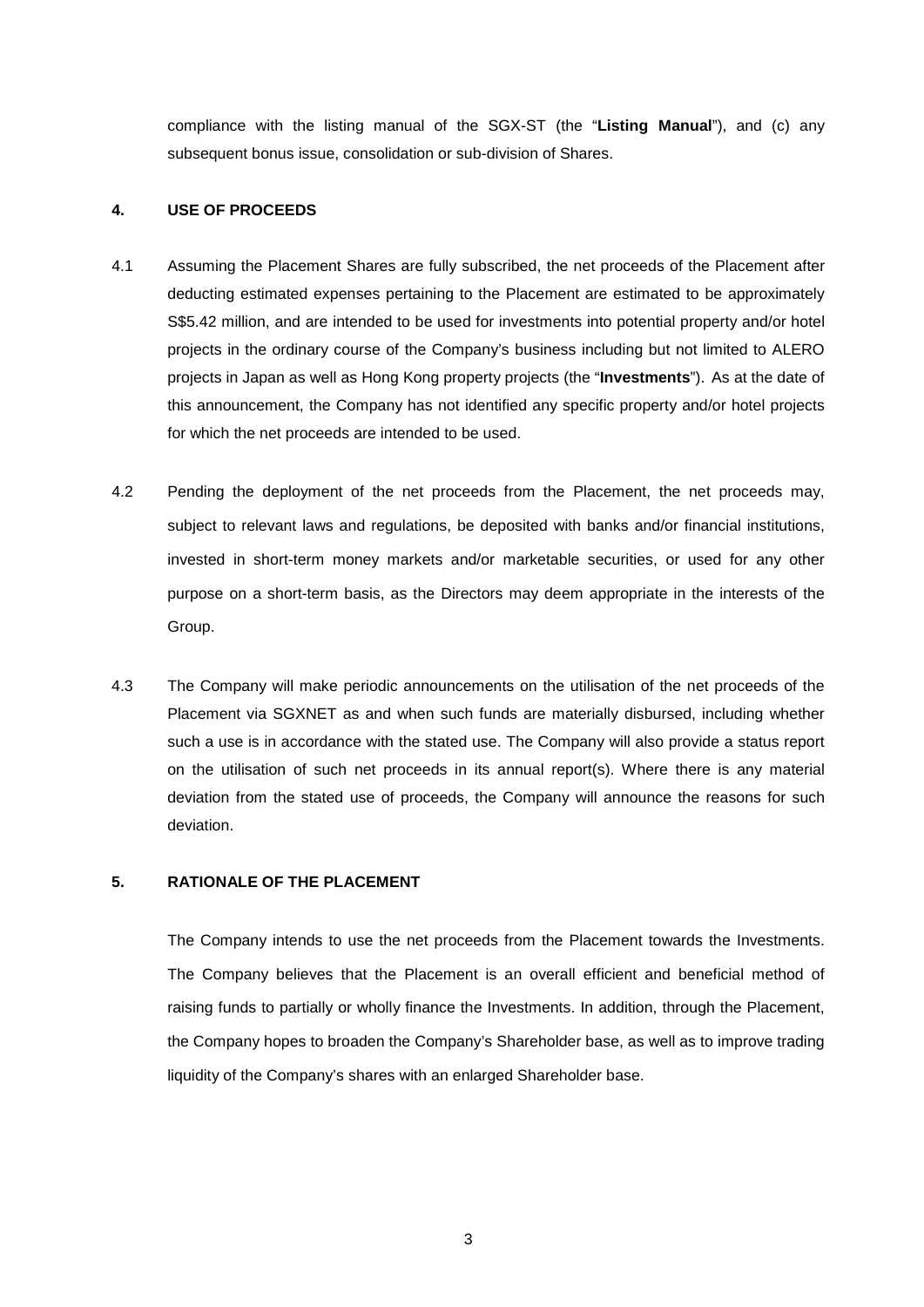compliance with the listing manual of the SGX-ST (the "**Listing Manual**"), and (c) any subsequent bonus issue, consolidation or sub-division of Shares.

### **4. USE OF PROCEEDS**

- 4.1 Assuming the Placement Shares are fully subscribed, the net proceeds of the Placement after deducting estimated expenses pertaining to the Placement are estimated to be approximately S\$5.42 million, and are intended to be used for investments into potential property and/or hotel projects in the ordinary course of the Company's business including but not limited to ALERO projects in Japan as well as Hong Kong property projects (the "**Investments**"). As at the date of this announcement, the Company has not identified any specific property and/or hotel projects for which the net proceeds are intended to be used.
- 4.2 Pending the deployment of the net proceeds from the Placement, the net proceeds may, subject to relevant laws and regulations, be deposited with banks and/or financial institutions, invested in short-term money markets and/or marketable securities, or used for any other purpose on a short-term basis, as the Directors may deem appropriate in the interests of the Group.
- 4.3 The Company will make periodic announcements on the utilisation of the net proceeds of the Placement via SGXNET as and when such funds are materially disbursed, including whether such a use is in accordance with the stated use. The Company will also provide a status report on the utilisation of such net proceeds in its annual report(s). Where there is any material deviation from the stated use of proceeds, the Company will announce the reasons for such deviation.

### **5. RATIONALE OF THE PLACEMENT**

The Company intends to use the net proceeds from the Placement towards the Investments. The Company believes that the Placement is an overall efficient and beneficial method of raising funds to partially or wholly finance the Investments. In addition, through the Placement, the Company hopes to broaden the Company's Shareholder base, as well as to improve trading liquidity of the Company's shares with an enlarged Shareholder base.